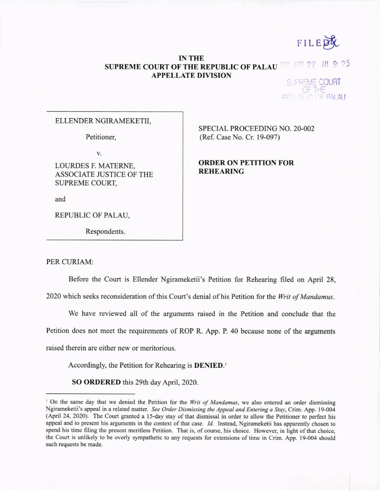FILEPY

## **IN THE**   $ADQ$   $29$ M 8: 25 **SUPREME COURT OF THE REPUBLIC OF PALAU APPELLATE DIVISION**

SUPREME COURT

## **ELLENDER NGIRAMEKETII,**

**Petitioner,** 

**v.** 

**LOURDES F. MATERNE, ASSOCIATE JUSTICE OF THE SUPREME COURT,** 

**and** 

**REPUBLIC OF PALAU,** 

**Respondents.** 

**SPECIAL PROCEEDING NO, 20-002 (Ref. Case No. Cr. 19-097)** 

**ORDER ON PETITION FOR REHEARING** 

**PER CURIAM:** 

**Before the Court is Ellender Ngirameketii's Petition for Rehearing filed on April 28,** 

**2020 which seeks reconsideration of this Court's denial of his Petition for the** *Writ of Mandamus.* 

**We have reviewed all of the arguments** raised **in the Petition and conclude that the Petition does not meet the requirements of ROP** R. App. **P. 40 because none of the arguments raised therein are either new or meritorious.** 

**Accordingly, the Petition for Rehearing is DENIED.'** 

**SO ORDERED this 29th day April, 2020.** 

**<sup>&#</sup>x27; On the same day that we denied the Petition for the** *Writ of Mandamus,* **we also entered an order dismissing Ngirameketii's appeal in a related matter.** *See Order Dismissing the Appeal and Entering a Stay,* **Crim. App. 19-004 (April 24, 2020). The Court granted a 15-day stay of that dismissal in order to allow the Petitioner to perfect his appeal and to present his arguments in the context of that case.** *Id.* **Instead, Ngirameketii has apparently chosen to spend his time filing the present meritless Petition. That is, of course, his choice. However, in light of that choice, the Court is unlikely to be overly sympathetic to any requests for extensions of time in Crim. App. 19-004 should such requests be made.**